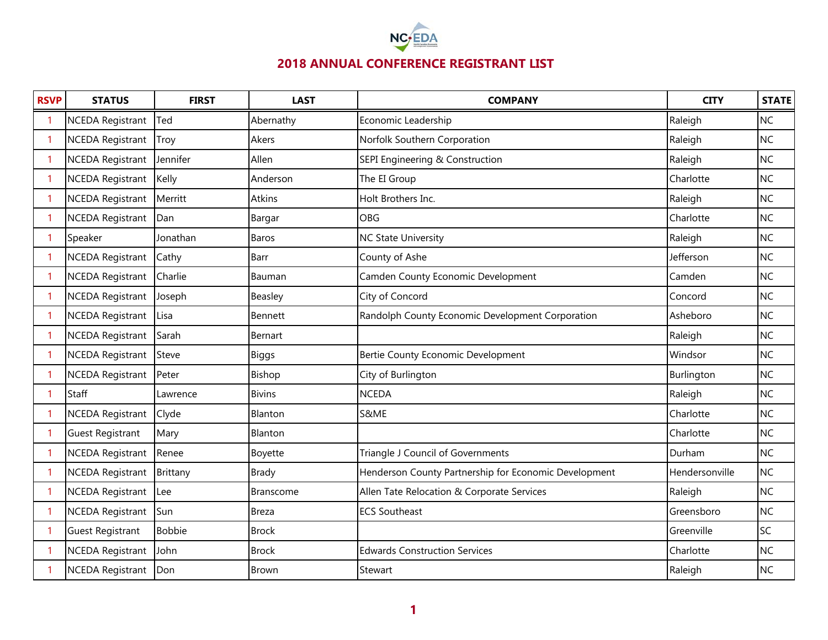

| <b>RSVP</b> | <b>STATUS</b>           | <b>FIRST</b>  | <b>LAST</b>   | <b>COMPANY</b>                                        | <b>CITY</b>    | <b>STATE</b> |
|-------------|-------------------------|---------------|---------------|-------------------------------------------------------|----------------|--------------|
| -1          | <b>NCEDA Registrant</b> | Ted           | Abernathy     | Economic Leadership                                   | Raleigh        | <b>NC</b>    |
| -1          | <b>NCEDA Registrant</b> | Troy          | Akers         | Norfolk Southern Corporation                          | Raleigh        | <b>NC</b>    |
| -1          | <b>NCEDA Registrant</b> | Jennifer      | Allen         | SEPI Engineering & Construction                       | Raleigh        | <b>NC</b>    |
|             | <b>NCEDA Registrant</b> | Kelly         | Anderson      | The EI Group                                          | Charlotte      | <b>NC</b>    |
|             | <b>NCEDA Registrant</b> | Merritt       | Atkins        | Holt Brothers Inc.                                    | Raleigh        | <b>NC</b>    |
|             | <b>NCEDA Registrant</b> | Dan           | Bargar        | <b>OBG</b>                                            | Charlotte      | <b>NC</b>    |
|             | Speaker                 | Jonathan      | Baros         | <b>NC State University</b>                            | Raleigh        | <b>NC</b>    |
|             | <b>NCEDA Registrant</b> | Cathy         | Barr          | County of Ashe                                        | Jefferson      | <b>NC</b>    |
|             | <b>NCEDA Registrant</b> | Charlie       | Bauman        | Camden County Economic Development                    | Camden         | <b>NC</b>    |
|             | <b>NCEDA Registrant</b> | Joseph        | Beasley       | City of Concord                                       | Concord        | <b>NC</b>    |
|             | <b>NCEDA Registrant</b> | Lisa          | Bennett       | Randolph County Economic Development Corporation      | Asheboro       | <b>NC</b>    |
|             | <b>NCEDA Registrant</b> | Sarah         | Bernart       |                                                       | Raleigh        | <b>NC</b>    |
|             | <b>NCEDA Registrant</b> | Steve         | Biggs         | Bertie County Economic Development                    | Windsor        | <b>NC</b>    |
|             | <b>NCEDA Registrant</b> | Peter         | Bishop        | City of Burlington                                    | Burlington     | <b>NC</b>    |
|             | Staff                   | Lawrence      | <b>Bivins</b> | <b>NCEDA</b>                                          | Raleigh        | <b>NC</b>    |
|             | <b>NCEDA Registrant</b> | Clyde         | Blanton       | S&ME                                                  | Charlotte      | <b>NC</b>    |
|             | <b>Guest Registrant</b> | Mary          | Blanton       |                                                       | Charlotte      | <b>NC</b>    |
|             | <b>NCEDA Registrant</b> | Renee         | Boyette       | Triangle J Council of Governments                     | Durham         | <b>NC</b>    |
|             | <b>NCEDA Registrant</b> | Brittany      | Brady         | Henderson County Partnership for Economic Development | Hendersonville | <b>NC</b>    |
|             | <b>NCEDA Registrant</b> | Lee           | Branscome     | Allen Tate Relocation & Corporate Services            | Raleigh        | <b>NC</b>    |
|             | <b>NCEDA Registrant</b> | Sun           | Breza         | <b>ECS Southeast</b>                                  | Greensboro     | <b>NC</b>    |
|             | <b>Guest Registrant</b> | <b>Bobbie</b> | <b>Brock</b>  |                                                       | Greenville     | SC           |
|             | <b>NCEDA Registrant</b> | John          | <b>Brock</b>  | <b>Edwards Construction Services</b>                  | Charlotte      | <b>NC</b>    |
|             | <b>NCEDA Registrant</b> | Don           | Brown         | Stewart                                               | Raleigh        | <b>NC</b>    |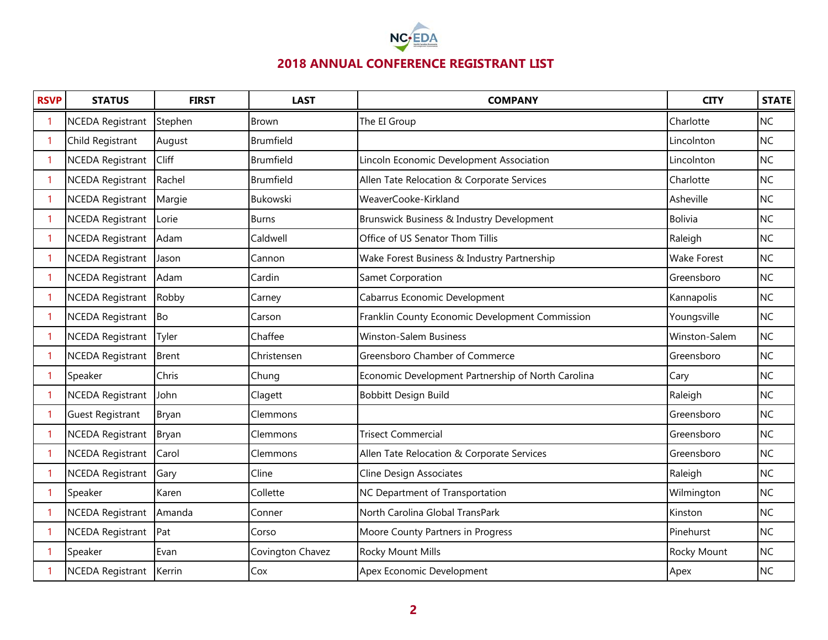

| <b>RSVP</b> | <b>STATUS</b>           | <b>FIRST</b> | <b>LAST</b>      | <b>COMPANY</b>                                     | <b>CITY</b>        | <b>STATE</b> |
|-------------|-------------------------|--------------|------------------|----------------------------------------------------|--------------------|--------------|
| -1          | <b>NCEDA Registrant</b> | Stephen      | <b>Brown</b>     | The EI Group                                       | Charlotte          | <b>NC</b>    |
| -1          | Child Registrant        | August       | Brumfield        |                                                    | Lincolnton         | <b>NC</b>    |
| -1          | <b>NCEDA Registrant</b> | Cliff        | Brumfield        | Lincoln Economic Development Association           | Lincolnton         | <b>NC</b>    |
| 1           | <b>NCEDA Registrant</b> | Rachel       | Brumfield        | Allen Tate Relocation & Corporate Services         | Charlotte          | <b>NC</b>    |
| -1          | <b>NCEDA Registrant</b> | Margie       | Bukowski         | WeaverCooke-Kirkland                               | Asheville          | <b>NC</b>    |
| -1          | <b>NCEDA Registrant</b> | Lorie        | <b>Burns</b>     | Brunswick Business & Industry Development          | <b>Bolivia</b>     | <b>NC</b>    |
| -1          | <b>NCEDA Registrant</b> | Adam         | Caldwell         | Office of US Senator Thom Tillis                   | Raleigh            | <b>NC</b>    |
|             | <b>NCEDA Registrant</b> | Jason        | Cannon           | Wake Forest Business & Industry Partnership        | <b>Wake Forest</b> | <b>NC</b>    |
| -1          | <b>NCEDA Registrant</b> | Adam         | Cardin           | Samet Corporation                                  | Greensboro         | <b>NC</b>    |
|             | <b>NCEDA Registrant</b> | Robby        | Carney           | Cabarrus Economic Development                      | Kannapolis         | <b>NC</b>    |
|             | <b>NCEDA Registrant</b> | <b>Bo</b>    | Carson           | Franklin County Economic Development Commission    | Youngsville        | <b>NC</b>    |
|             | <b>NCEDA Registrant</b> | Tyler        | Chaffee          | <b>Winston-Salem Business</b>                      | Winston-Salem      | <b>NC</b>    |
|             | <b>NCEDA Registrant</b> | <b>Brent</b> | Christensen      | Greensboro Chamber of Commerce                     | Greensboro         | <b>NC</b>    |
|             | Speaker                 | Chris        | Chung            | Economic Development Partnership of North Carolina | Cary               | <b>NC</b>    |
|             | <b>NCEDA Registrant</b> | John         | Clagett          | Bobbitt Design Build                               | Raleigh            | <b>NC</b>    |
|             | <b>Guest Registrant</b> | <b>Bryan</b> | Clemmons         |                                                    | Greensboro         | <b>NC</b>    |
|             | <b>NCEDA Registrant</b> | Bryan        | Clemmons         | <b>Trisect Commercial</b>                          | Greensboro         | <b>NC</b>    |
|             | <b>NCEDA Registrant</b> | Carol        | Clemmons         | Allen Tate Relocation & Corporate Services         | Greensboro         | <b>NC</b>    |
|             | <b>NCEDA Registrant</b> | Gary         | Cline            | Cline Design Associates                            | Raleigh            | NC           |
|             | Speaker                 | Karen        | Collette         | NC Department of Transportation                    | Wilmington         | <b>NC</b>    |
| -1          | <b>NCEDA Registrant</b> | Amanda       | Conner           | North Carolina Global TransPark                    | Kinston            | <b>NC</b>    |
|             | <b>NCEDA Registrant</b> | Pat          | Corso            | Moore County Partners in Progress                  | Pinehurst          | <b>NC</b>    |
|             | Speaker                 | Evan         | Covington Chavez | Rocky Mount Mills                                  | Rocky Mount        | <b>NC</b>    |
|             | <b>NCEDA Registrant</b> | Kerrin       | Cox              | Apex Economic Development                          | Apex               | <b>NC</b>    |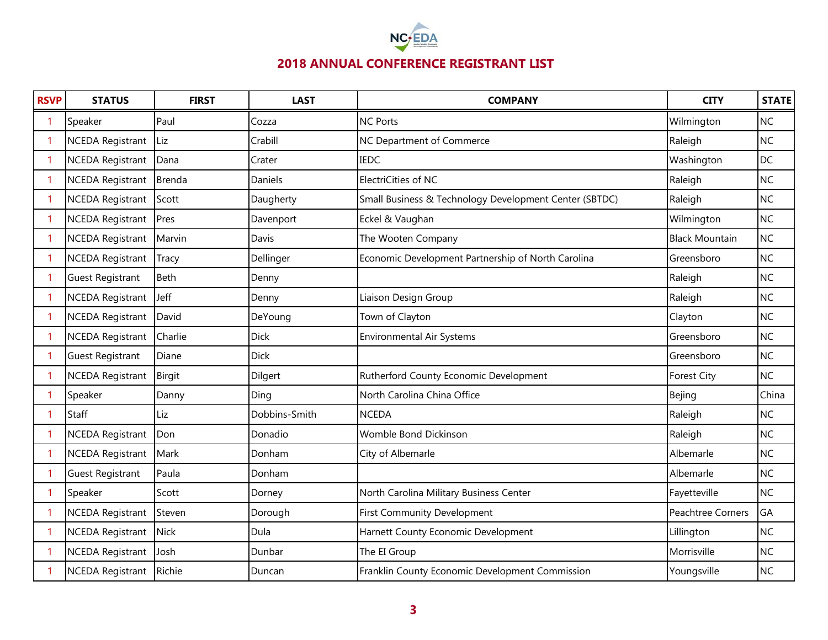

| <b>RSVP</b> | <b>STATUS</b>           | <b>FIRST</b> | <b>LAST</b>   | <b>COMPANY</b>                                         | <b>CITY</b>           | <b>STATE</b> |
|-------------|-------------------------|--------------|---------------|--------------------------------------------------------|-----------------------|--------------|
|             | Speaker                 | Paul         | Cozza         | <b>NC Ports</b>                                        | Wilmington            | <b>NC</b>    |
|             | <b>NCEDA Registrant</b> | Liz          | Crabill       | NC Department of Commerce                              | Raleigh               | <b>NC</b>    |
| 1           | <b>NCEDA Registrant</b> | Dana         | Crater        | <b>IEDC</b>                                            | Washington            | <b>DC</b>    |
| 1           | <b>NCEDA Registrant</b> | Brenda       | Daniels       | ElectriCities of NC                                    | Raleigh               | <b>NC</b>    |
| 1           | <b>NCEDA Registrant</b> | Scott        | Daugherty     | Small Business & Technology Development Center (SBTDC) | Raleigh               | <b>NC</b>    |
| 1           | <b>NCEDA Registrant</b> | Pres         | Davenport     | Eckel & Vaughan                                        | Wilmington            | <b>NC</b>    |
| 1           | <b>NCEDA Registrant</b> | Marvin       | Davis         | The Wooten Company                                     | <b>Black Mountain</b> | <b>NC</b>    |
|             | <b>NCEDA Registrant</b> | Tracy        | Dellinger     | Economic Development Partnership of North Carolina     | Greensboro            | <b>NC</b>    |
| 1           | <b>Guest Registrant</b> | <b>Beth</b>  | Denny         |                                                        | Raleigh               | <b>NC</b>    |
|             | <b>NCEDA Registrant</b> | Jeff         | Denny         | Liaison Design Group                                   | Raleigh               | <b>NC</b>    |
|             | <b>NCEDA Registrant</b> | David        | DeYoung       | Town of Clayton                                        | Clayton               | <b>NC</b>    |
|             | <b>NCEDA Registrant</b> | Charlie      | <b>Dick</b>   | <b>Environmental Air Systems</b>                       | Greensboro            | <b>NC</b>    |
|             | Guest Registrant        | Diane        | <b>Dick</b>   |                                                        | Greensboro            | <b>NC</b>    |
|             | <b>NCEDA Registrant</b> | Birgit       | Dilgert       | Rutherford County Economic Development                 | <b>Forest City</b>    | <b>NC</b>    |
|             | Speaker                 | Danny        | Ding          | North Carolina China Office                            | Bejing                | China        |
|             | Staff                   | Liz          | Dobbins-Smith | <b>NCEDA</b>                                           | Raleigh               | <b>NC</b>    |
|             | <b>NCEDA Registrant</b> | Don          | Donadio       | Womble Bond Dickinson                                  | Raleigh               | <b>NC</b>    |
|             | <b>NCEDA Registrant</b> | Mark         | Donham        | City of Albemarle                                      | Albemarle             | <b>NC</b>    |
|             | <b>Guest Registrant</b> | Paula        | Donham        |                                                        | Albemarle             | <b>NC</b>    |
|             | Speaker                 | Scott        | Dorney        | North Carolina Military Business Center                | Fayetteville          | <b>NC</b>    |
|             | <b>NCEDA Registrant</b> | Steven       | Dorough       | <b>First Community Development</b>                     | Peachtree Corners     | GA           |
|             | <b>NCEDA Registrant</b> | <b>Nick</b>  | Dula          | Harnett County Economic Development                    | Lillington            | <b>NC</b>    |
|             | <b>NCEDA Registrant</b> | Josh         | Dunbar        | The EI Group                                           | Morrisville           | <b>NC</b>    |
|             | <b>NCEDA Registrant</b> | Richie       | Duncan        | Franklin County Economic Development Commission        | Youngsville           | <b>NC</b>    |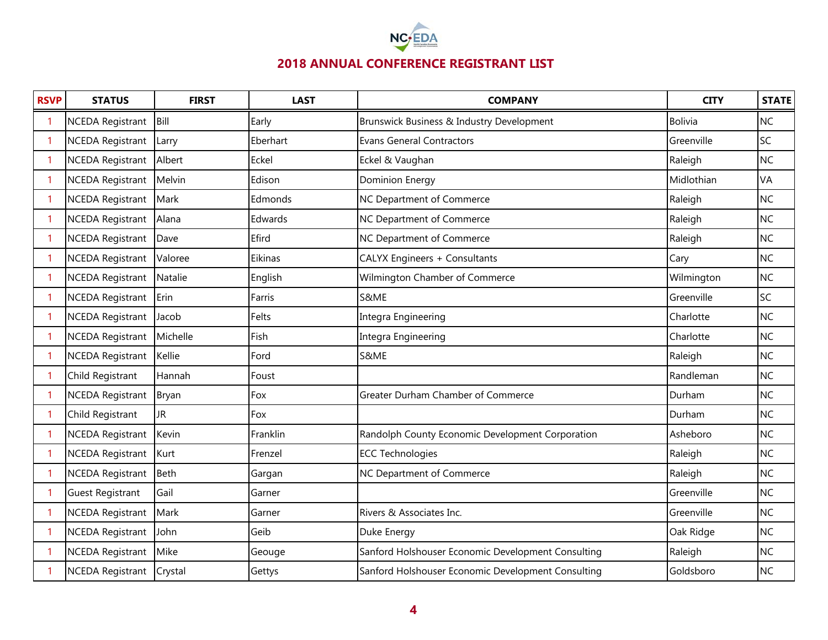

| <b>RSVP</b> | <b>STATUS</b>            | <b>FIRST</b> | <b>LAST</b> | <b>COMPANY</b>                                     | <b>CITY</b>    | <b>STATE</b> |
|-------------|--------------------------|--------------|-------------|----------------------------------------------------|----------------|--------------|
|             | <b>NCEDA Registrant</b>  | Bill         | Early       | Brunswick Business & Industry Development          | <b>Bolivia</b> | <b>NC</b>    |
| 1           | <b>NCEDA Registrant</b>  | Larry        | Eberhart    | <b>Evans General Contractors</b>                   | Greenville     | SC           |
| 1           | NCEDA Registrant Albert  |              | Eckel       | Eckel & Vaughan                                    | Raleigh        | <b>NC</b>    |
| 1           | NCEDA Registrant Melvin  |              | Edison      | Dominion Energy                                    | Midlothian     | VA           |
| 1           | NCEDA Registrant         | Mark         | Edmonds     | NC Department of Commerce                          | Raleigh        | <b>NC</b>    |
| 1           | <b>NCEDA Registrant</b>  | Alana        | Edwards     | NC Department of Commerce                          | Raleigh        | <b>NC</b>    |
| 1           | <b>NCEDA Registrant</b>  | Dave         | Efird       | NC Department of Commerce                          | Raleigh        | <b>NC</b>    |
| 1           | <b>NCEDA Registrant</b>  | Valoree      | Eikinas     | CALYX Engineers + Consultants                      | Cary           | <b>NC</b>    |
| 1           | <b>NCEDA Registrant</b>  | Natalie      | English     | Wilmington Chamber of Commerce                     | Wilmington     | <b>NC</b>    |
| 1           | <b>NCEDA Registrant</b>  | Erin         | Farris      | S&ME                                               | Greenville     | SC           |
| 1           | <b>NCEDA Registrant</b>  | Jacob        | Felts       | Integra Engineering                                | Charlotte      | <b>NC</b>    |
| 1           | <b>NCEDA Registrant</b>  | Michelle     | Fish        | Integra Engineering                                | Charlotte      | <b>NC</b>    |
|             | <b>NCEDA Registrant</b>  | Kellie       | Ford        | S&ME                                               | Raleigh        | <b>NC</b>    |
|             | Child Registrant         | Hannah       | Foust       |                                                    | Randleman      | <b>NC</b>    |
|             | <b>NCEDA Registrant</b>  | Bryan        | Fox         | Greater Durham Chamber of Commerce                 | Durham         | <b>NC</b>    |
|             | Child Registrant         | <b>JR</b>    | Fox         |                                                    | Durham         | <b>NC</b>    |
|             | <b>NCEDA Registrant</b>  | Kevin        | Franklin    | Randolph County Economic Development Corporation   | Asheboro       | <b>NC</b>    |
|             | <b>NCEDA Registrant</b>  | Kurt         | Frenzel     | <b>ECC Technologies</b>                            | Raleigh        | <b>NC</b>    |
|             | <b>NCEDA Registrant</b>  | Beth         | Gargan      | NC Department of Commerce                          | Raleigh        | <b>NC</b>    |
|             | <b>Guest Registrant</b>  | Gail         | Garner      |                                                    | Greenville     | <b>NC</b>    |
|             | <b>NCEDA Registrant</b>  | Mark         | Garner      | Rivers & Associates Inc.                           | Greenville     | <b>NC</b>    |
|             | <b>NCEDA Registrant</b>  | John         | Geib        | Duke Energy                                        | Oak Ridge      | <b>NC</b>    |
|             | <b>NCEDA Registrant</b>  | Mike         | Geouge      | Sanford Holshouser Economic Development Consulting | Raleigh        | <b>NC</b>    |
|             | NCEDA Registrant Crystal |              | Gettys      | Sanford Holshouser Economic Development Consulting | Goldsboro      | <b>NC</b>    |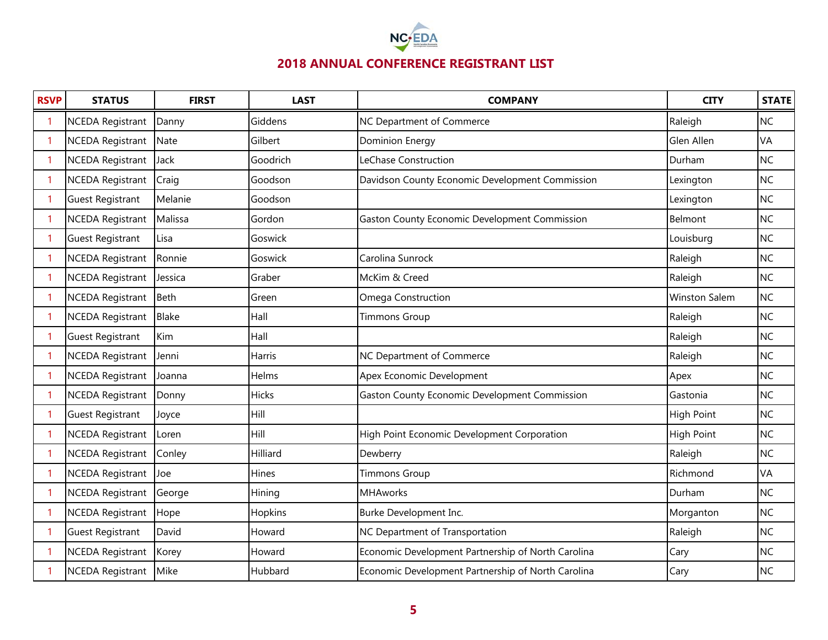

| <b>RSVP</b> | <b>STATUS</b>           | <b>FIRST</b> | <b>LAST</b>  | <b>COMPANY</b>                                       | <b>CITY</b>          | <b>STATE</b> |
|-------------|-------------------------|--------------|--------------|------------------------------------------------------|----------------------|--------------|
|             | <b>NCEDA Registrant</b> | Danny        | Giddens      | NC Department of Commerce                            | Raleigh              | <b>NC</b>    |
| -1          | <b>NCEDA Registrant</b> | Nate         | Gilbert      | <b>Dominion Energy</b>                               | Glen Allen           | VA           |
| -1          | <b>NCEDA Registrant</b> | Jack         | Goodrich     | LeChase Construction                                 | Durham               | <b>NC</b>    |
| -1          | <b>NCEDA Registrant</b> | Craig        | Goodson      | Davidson County Economic Development Commission      | Lexington            | <b>NC</b>    |
| -1          | <b>Guest Registrant</b> | Melanie      | Goodson      |                                                      | Lexington            | <b>NC</b>    |
| -1          | <b>NCEDA Registrant</b> | Malissa      | Gordon       | Gaston County Economic Development Commission        | Belmont              | <b>NC</b>    |
| -1          | <b>Guest Registrant</b> | Lisa         | Goswick      |                                                      | Louisburg            | <b>NC</b>    |
|             | <b>NCEDA Registrant</b> | Ronnie       | Goswick      | Carolina Sunrock                                     | Raleigh              | <b>NC</b>    |
|             | <b>NCEDA Registrant</b> | Jessica      | Graber       | McKim & Creed                                        | Raleigh              | <b>NC</b>    |
|             | <b>NCEDA Registrant</b> | <b>Beth</b>  | Green        | Omega Construction                                   | <b>Winston Salem</b> | <b>NC</b>    |
|             | <b>NCEDA Registrant</b> | <b>Blake</b> | Hall         | <b>Timmons Group</b>                                 | Raleigh              | <b>NC</b>    |
|             | <b>Guest Registrant</b> | Kim          | Hall         |                                                      | Raleigh              | <b>NC</b>    |
|             | <b>NCEDA Registrant</b> | Jenni        | Harris       | NC Department of Commerce                            | Raleigh              | <b>NC</b>    |
|             | <b>NCEDA Registrant</b> | Joanna       | Helms        | Apex Economic Development                            | Apex                 | <b>NC</b>    |
|             | <b>NCEDA Registrant</b> | Donny        | <b>Hicks</b> | <b>Gaston County Economic Development Commission</b> | Gastonia             | <b>NC</b>    |
|             | <b>Guest Registrant</b> | Joyce        | Hill         |                                                      | <b>High Point</b>    | <b>NC</b>    |
|             | <b>NCEDA Registrant</b> | Loren        | Hill         | High Point Economic Development Corporation          | <b>High Point</b>    | <b>NC</b>    |
|             | <b>NCEDA Registrant</b> | Conley       | Hilliard     | Dewberry                                             | Raleigh              | <b>NC</b>    |
|             | <b>NCEDA Registrant</b> | Joe          | Hines        | <b>Timmons Group</b>                                 | Richmond             | VA           |
|             | <b>NCEDA Registrant</b> | George       | Hining       | <b>MHAworks</b>                                      | Durham               | <b>NC</b>    |
|             | <b>NCEDA Registrant</b> | Hope         | Hopkins      | Burke Development Inc.                               | Morganton            | <b>NC</b>    |
|             | <b>Guest Registrant</b> | David        | Howard       | NC Department of Transportation                      | Raleigh              | <b>NC</b>    |
|             | <b>NCEDA Registrant</b> | Korey        | Howard       | Economic Development Partnership of North Carolina   | Cary                 | <b>NC</b>    |
|             | <b>NCEDA Registrant</b> | Mike         | Hubbard      | Economic Development Partnership of North Carolina   | Cary                 | <b>NC</b>    |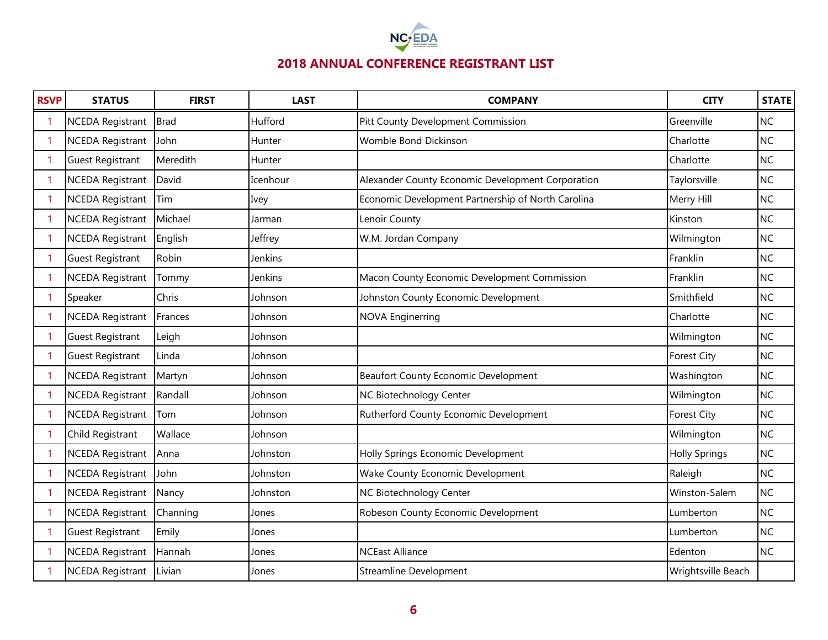

| <b>RSVP</b> | <b>STATUS</b>           | <b>FIRST</b> | <b>LAST</b> | <b>COMPANY</b>                                     | <b>CITY</b>          | <b>STATE</b> |
|-------------|-------------------------|--------------|-------------|----------------------------------------------------|----------------------|--------------|
|             | <b>NCEDA Registrant</b> | <b>Brad</b>  | Hufford     | Pitt County Development Commission                 | Greenville           | <b>NC</b>    |
| 1           | <b>NCEDA Registrant</b> | John         | Hunter      | Womble Bond Dickinson                              | Charlotte            | <b>NC</b>    |
| -1          | <b>Guest Registrant</b> | Meredith     | Hunter      |                                                    | Charlotte            | <b>NC</b>    |
| 1           | <b>NCEDA Registrant</b> | David        | Icenhour    | Alexander County Economic Development Corporation  | Taylorsville         | <b>NC</b>    |
| -1          | <b>NCEDA Registrant</b> | Tim          | Ivey        | Economic Development Partnership of North Carolina | Merry Hill           | <b>NC</b>    |
| 1           | <b>NCEDA Registrant</b> | Michael      | Jarman      | Lenoir County                                      | Kinston              | <b>NC</b>    |
| -1          | <b>NCEDA Registrant</b> | English      | Jeffrey     | W.M. Jordan Company                                | Wilmington           | <b>NC</b>    |
|             | <b>Guest Registrant</b> | Robin        | Jenkins     |                                                    | Franklin             | <b>NC</b>    |
| -1          | <b>NCEDA Registrant</b> | Tommy        | Jenkins     | Macon County Economic Development Commission       | Franklin             | <b>NC</b>    |
|             | Speaker                 | Chris        | Johnson     | Johnston County Economic Development               | Smithfield           | <b>NC</b>    |
|             | <b>NCEDA Registrant</b> | Frances      | Johnson     | <b>NOVA Enginerring</b>                            | Charlotte            | <b>NC</b>    |
|             | <b>Guest Registrant</b> | Leigh        | Johnson     |                                                    | Wilmington           | <b>NC</b>    |
|             | <b>Guest Registrant</b> | Linda        | Johnson     |                                                    | <b>Forest City</b>   | <b>NC</b>    |
|             | <b>NCEDA Registrant</b> | Martyn       | Johnson     | <b>Beaufort County Economic Development</b>        | Washington           | <b>NC</b>    |
|             | <b>NCEDA Registrant</b> | Randall      | Johnson     | NC Biotechnology Center                            | Wilmington           | <b>NC</b>    |
|             | <b>NCEDA Registrant</b> | Tom          | Johnson     | Rutherford County Economic Development             | Forest City          | <b>NC</b>    |
|             | Child Registrant        | Wallace      | Johnson     |                                                    | Wilmington           | <b>NC</b>    |
|             | <b>NCEDA Registrant</b> | Anna         | Johnston    | Holly Springs Economic Development                 | <b>Holly Springs</b> | <b>NC</b>    |
|             | <b>NCEDA Registrant</b> | John         | Johnston    | Wake County Economic Development                   | Raleigh              | <b>NC</b>    |
|             | <b>NCEDA Registrant</b> | Nancy        | Johnston    | NC Biotechnology Center                            | Winston-Salem        | <b>NC</b>    |
|             | <b>NCEDA Registrant</b> | Channing     | Jones       | Robeson County Economic Development                | Lumberton            | <b>NC</b>    |
|             | <b>Guest Registrant</b> | Emily        | Jones       |                                                    | Lumberton            | <b>NC</b>    |
|             | <b>NCEDA Registrant</b> | Hannah       | Jones       | <b>NCEast Alliance</b>                             | Edenton              | <b>NC</b>    |
|             | <b>NCEDA Registrant</b> | Livian       | Jones       | <b>Streamline Development</b>                      | Wrightsville Beach   |              |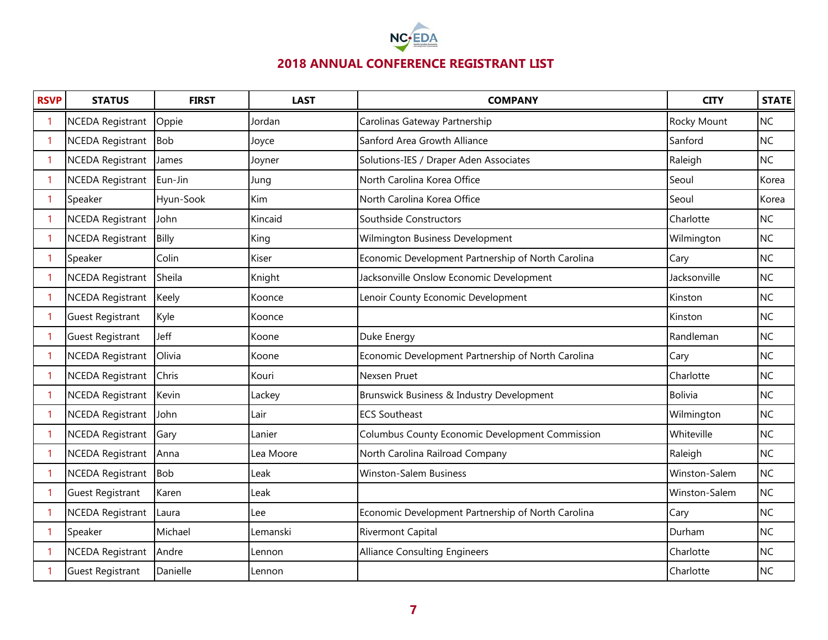

| <b>RSVP</b> | <b>STATUS</b>           | <b>FIRST</b> | <b>LAST</b> | <b>COMPANY</b>                                     | <b>CITY</b>    | <b>STATE</b> |
|-------------|-------------------------|--------------|-------------|----------------------------------------------------|----------------|--------------|
|             | <b>NCEDA Registrant</b> | Oppie        | Jordan      | Carolinas Gateway Partnership                      | Rocky Mount    | <b>NC</b>    |
|             | <b>NCEDA Registrant</b> | <b>Bob</b>   | Joyce       | Sanford Area Growth Alliance                       | Sanford        | <b>NC</b>    |
| 1           | <b>NCEDA Registrant</b> | James        | Joyner      | Solutions-IES / Draper Aden Associates             | Raleigh        | <b>NC</b>    |
| 1           | <b>NCEDA Registrant</b> | Eun-Jin      | Jung        | North Carolina Korea Office                        | Seoul          | Korea        |
| 1           | Speaker                 | Hyun-Sook    | Kim         | North Carolina Korea Office                        | Seoul          | Korea        |
|             | <b>NCEDA Registrant</b> | John         | Kincaid     | Southside Constructors                             | Charlotte      | <b>NC</b>    |
| 1           | <b>NCEDA Registrant</b> | Billy        | King        | Wilmington Business Development                    | Wilmington     | <b>NC</b>    |
| 1           | Speaker                 | Colin        | Kiser       | Economic Development Partnership of North Carolina | Cary           | <b>NC</b>    |
|             | <b>NCEDA Registrant</b> | Sheila       | Knight      | Jacksonville Onslow Economic Development           | Jacksonville   | <b>NC</b>    |
|             | <b>NCEDA Registrant</b> | Keely        | Koonce      | Lenoir County Economic Development                 | Kinston        | <b>NC</b>    |
| 1           | <b>Guest Registrant</b> | Kyle         | Koonce      |                                                    | Kinston        | <b>NC</b>    |
|             | <b>Guest Registrant</b> | Jeff         | Koone       | Duke Energy                                        | Randleman      | <b>NC</b>    |
|             | <b>NCEDA Registrant</b> | Olivia       | Koone       | Economic Development Partnership of North Carolina | Cary           | <b>NC</b>    |
|             | <b>NCEDA Registrant</b> | Chris        | Kouri       | Nexsen Pruet                                       | Charlotte      | <b>NC</b>    |
|             | <b>NCEDA Registrant</b> | Kevin        | Lackey      | Brunswick Business & Industry Development          | <b>Bolivia</b> | <b>NC</b>    |
|             | <b>NCEDA Registrant</b> | John         | Lair        | <b>ECS Southeast</b>                               | Wilmington     | <b>NC</b>    |
|             | <b>NCEDA Registrant</b> | Gary         | Lanier      | Columbus County Economic Development Commission    | Whiteville     | <b>NC</b>    |
|             | <b>NCEDA Registrant</b> | Anna         | Lea Moore   | North Carolina Railroad Company                    | Raleigh        | <b>NC</b>    |
|             | <b>NCEDA Registrant</b> | <b>Bob</b>   | Leak        | <b>Winston-Salem Business</b>                      | Winston-Salem  | <b>NC</b>    |
|             | <b>Guest Registrant</b> | Karen        | Leak        |                                                    | Winston-Salem  | <b>NC</b>    |
|             | <b>NCEDA Registrant</b> | Laura        | Lee         | Economic Development Partnership of North Carolina | Cary           | <b>NC</b>    |
|             | Speaker                 | Michael      | Lemanski    | <b>Rivermont Capital</b>                           | Durham         | <b>NC</b>    |
|             | <b>NCEDA Registrant</b> | Andre        | Lennon      | <b>Alliance Consulting Engineers</b>               | Charlotte      | <b>NC</b>    |
|             | <b>Guest Registrant</b> | Danielle     | Lennon      |                                                    | Charlotte      | <b>NC</b>    |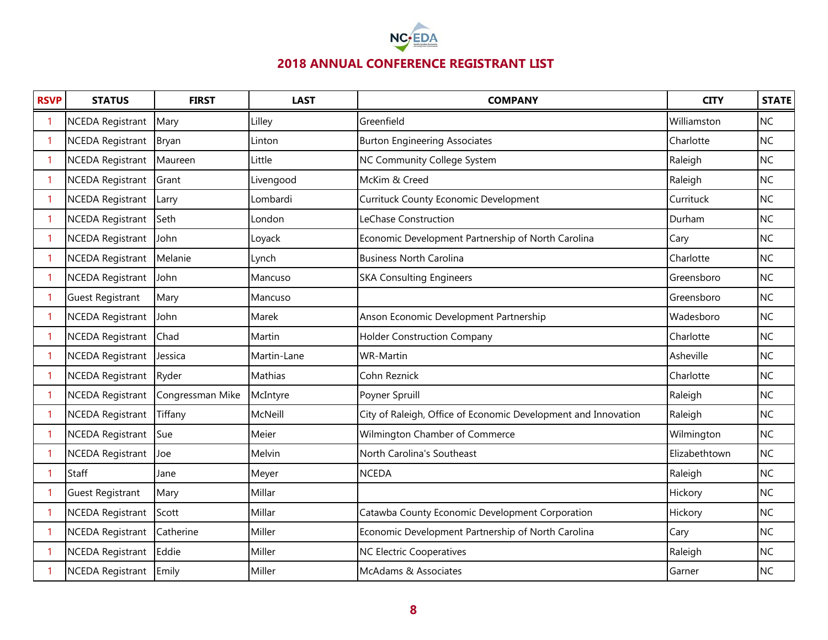

| <b>RSVP</b> | <b>STATUS</b>           | <b>FIRST</b>     | <b>LAST</b> | <b>COMPANY</b>                                                 | <b>CITY</b>   | <b>STATE</b> |
|-------------|-------------------------|------------------|-------------|----------------------------------------------------------------|---------------|--------------|
|             | <b>NCEDA Registrant</b> | Mary             | Lilley      | Greenfield                                                     | Williamston   | <b>NC</b>    |
| -1          | <b>NCEDA Registrant</b> | Bryan            | Linton      | <b>Burton Engineering Associates</b>                           | Charlotte     | <b>NC</b>    |
| -1          | <b>NCEDA Registrant</b> | Maureen          | Little      | NC Community College System                                    | Raleigh       | <b>NC</b>    |
| -1          | <b>NCEDA Registrant</b> | Grant            | Livengood   | McKim & Creed                                                  | Raleigh       | <b>NC</b>    |
| -1          | <b>NCEDA Registrant</b> | Larry            | Lombardi    | Currituck County Economic Development                          | Currituck     | <b>NC</b>    |
| -1          | <b>NCEDA Registrant</b> | Seth             | London      | LeChase Construction                                           | Durham        | <b>NC</b>    |
| -1          | <b>NCEDA Registrant</b> | John             | Loyack      | Economic Development Partnership of North Carolina             | Cary          | <b>NC</b>    |
|             | <b>NCEDA Registrant</b> | Melanie          | Lynch       | <b>Business North Carolina</b>                                 | Charlotte     | <b>NC</b>    |
| -1          | <b>NCEDA Registrant</b> | John             | Mancuso     | <b>SKA Consulting Engineers</b>                                | Greensboro    | <b>NC</b>    |
|             | <b>Guest Registrant</b> | Mary             | Mancuso     |                                                                | Greensboro    | <b>NC</b>    |
|             | <b>NCEDA Registrant</b> | John             | Marek       | Anson Economic Development Partnership                         | Wadesboro     | <b>NC</b>    |
|             | <b>NCEDA Registrant</b> | Chad             | Martin      | <b>Holder Construction Company</b>                             | Charlotte     | <b>NC</b>    |
|             | <b>NCEDA Registrant</b> | Jessica          | Martin-Lane | <b>WR-Martin</b>                                               | Asheville     | <b>NC</b>    |
|             | <b>NCEDA Registrant</b> | Ryder            | Mathias     | Cohn Reznick                                                   | Charlotte     | <b>NC</b>    |
|             | <b>NCEDA Registrant</b> | Congressman Mike | McIntyre    | Poyner Spruill                                                 | Raleigh       | <b>NC</b>    |
|             | <b>NCEDA Registrant</b> | Tiffany          | McNeill     | City of Raleigh, Office of Economic Development and Innovation | Raleigh       | <b>NC</b>    |
|             | <b>NCEDA Registrant</b> | Sue              | Meier       | Wilmington Chamber of Commerce                                 | Wilmington    | <b>NC</b>    |
|             | <b>NCEDA Registrant</b> | Joe              | Melvin      | North Carolina's Southeast                                     | Elizabethtown | NC           |
|             | Staff                   | Jane             | Meyer       | <b>NCEDA</b>                                                   | Raleigh       | NC           |
|             | <b>Guest Registrant</b> | Mary             | Millar      |                                                                | Hickory       | <b>NC</b>    |
| -1          | <b>NCEDA Registrant</b> | Scott            | Millar      | Catawba County Economic Development Corporation                | Hickory       | <b>NC</b>    |
|             | <b>NCEDA Registrant</b> | Catherine        | Miller      | Economic Development Partnership of North Carolina             | Cary          | <b>NC</b>    |
|             | <b>NCEDA Registrant</b> | Eddie            | Miller      | <b>NC Electric Cooperatives</b>                                | Raleigh       | <b>NC</b>    |
|             | NCEDA Registrant Emily  |                  | Miller      | McAdams & Associates                                           | Garner        | <b>NC</b>    |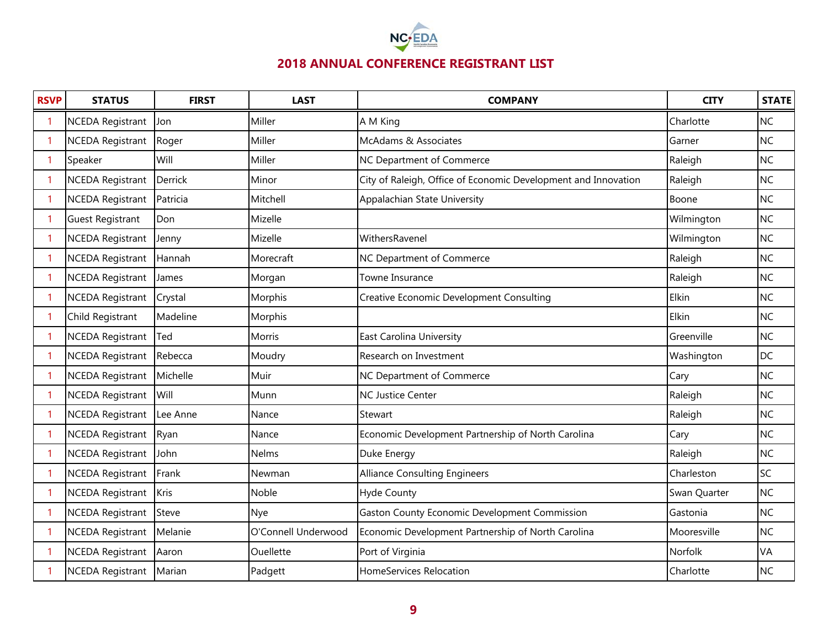

| <b>RSVP</b> | <b>STATUS</b>           | <b>FIRST</b> | <b>LAST</b>         | <b>COMPANY</b>                                                 | <b>CITY</b>  | <b>STATE</b> |
|-------------|-------------------------|--------------|---------------------|----------------------------------------------------------------|--------------|--------------|
|             | <b>NCEDA Registrant</b> | Jon          | Miller              | A M King                                                       | Charlotte    | <b>NC</b>    |
| -1          | <b>NCEDA Registrant</b> | Roger        | Miller              | McAdams & Associates                                           | Garner       | <b>NC</b>    |
| -1          | Speaker                 | Will         | Miller              | NC Department of Commerce                                      | Raleigh      | <b>NC</b>    |
| 1           | <b>NCEDA Registrant</b> | Derrick      | Minor               | City of Raleigh, Office of Economic Development and Innovation | Raleigh      | <b>NC</b>    |
| -1          | <b>NCEDA Registrant</b> | Patricia     | Mitchell            | Appalachian State University                                   | Boone        | <b>NC</b>    |
| -1          | <b>Guest Registrant</b> | Don          | Mizelle             |                                                                | Wilmington   | <b>NC</b>    |
| -1          | <b>NCEDA Registrant</b> | Jenny        | Mizelle             | WithersRavenel                                                 | Wilmington   | <b>NC</b>    |
| -1          | <b>NCEDA Registrant</b> | Hannah       | Morecraft           | NC Department of Commerce                                      | Raleigh      | <b>NC</b>    |
| -1          | <b>NCEDA Registrant</b> | James        | Morgan              | <b>Towne Insurance</b>                                         | Raleigh      | <b>NC</b>    |
| -1          | <b>NCEDA Registrant</b> | Crystal      | Morphis             | <b>Creative Economic Development Consulting</b>                | Elkin        | <b>NC</b>    |
| -1          | Child Registrant        | Madeline     | Morphis             |                                                                | Elkin        | <b>NC</b>    |
|             | <b>NCEDA Registrant</b> | Ted          | Morris              | East Carolina University                                       | Greenville   | <b>NC</b>    |
|             | <b>NCEDA Registrant</b> | Rebecca      | Moudry              | Research on Investment                                         | Washington   | <b>DC</b>    |
|             | <b>NCEDA Registrant</b> | Michelle     | Muir                | NC Department of Commerce                                      | Cary         | <b>NC</b>    |
|             | <b>NCEDA Registrant</b> | Will         | Munn                | <b>NC Justice Center</b>                                       | Raleigh      | <b>NC</b>    |
|             | <b>NCEDA Registrant</b> | Lee Anne     | Nance               | Stewart                                                        | Raleigh      | <b>NC</b>    |
|             | <b>NCEDA Registrant</b> | Ryan         | Nance               | Economic Development Partnership of North Carolina             | Cary         | <b>NC</b>    |
|             | <b>NCEDA Registrant</b> | John         | Nelms               | Duke Energy                                                    | Raleigh      | <b>NC</b>    |
|             | <b>NCEDA Registrant</b> | Frank        | Newman              | <b>Alliance Consulting Engineers</b>                           | Charleston   | SC           |
|             | <b>NCEDA Registrant</b> | Kris         | Noble               | Hyde County                                                    | Swan Quarter | <b>NC</b>    |
|             | <b>NCEDA Registrant</b> | Steve        | Nye                 | Gaston County Economic Development Commission                  | Gastonia     | <b>NC</b>    |
|             | <b>NCEDA Registrant</b> | Melanie      | O'Connell Underwood | Economic Development Partnership of North Carolina             | Mooresville  | <b>NC</b>    |
|             | <b>NCEDA Registrant</b> | Aaron        | Ouellette           | Port of Virginia                                               | Norfolk      | VA           |
|             | <b>NCEDA Registrant</b> | Marian       | Padgett             | HomeServices Relocation                                        | Charlotte    | <b>NC</b>    |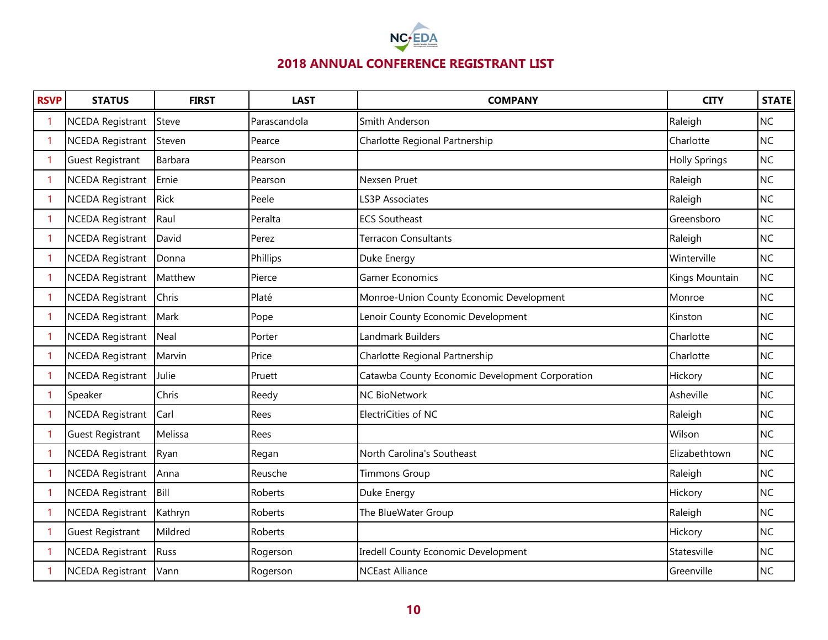

| <b>RSVP</b> | <b>STATUS</b>           | <b>FIRST</b> | <b>LAST</b>  | <b>COMPANY</b>                                  | <b>CITY</b>          | <b>STATE</b> |
|-------------|-------------------------|--------------|--------------|-------------------------------------------------|----------------------|--------------|
| -1          | <b>NCEDA Registrant</b> | Steve        | Parascandola | Smith Anderson                                  | Raleigh              | <b>NC</b>    |
| -1          | <b>NCEDA Registrant</b> | Steven       | Pearce       | Charlotte Regional Partnership                  | Charlotte            | <b>NC</b>    |
| -1          | <b>Guest Registrant</b> | Barbara      | Pearson      |                                                 | <b>Holly Springs</b> | <b>NC</b>    |
| 1           | <b>NCEDA Registrant</b> | Ernie        | Pearson      | Nexsen Pruet                                    | Raleigh              | <b>NC</b>    |
| -1          | <b>NCEDA Registrant</b> | <b>Rick</b>  | Peele        | <b>LS3P Associates</b>                          | Raleigh              | <b>NC</b>    |
| 1           | <b>NCEDA Registrant</b> | Raul         | Peralta      | <b>ECS Southeast</b>                            | Greensboro           | <b>NC</b>    |
| -1          | <b>NCEDA Registrant</b> | David        | Perez        | Terracon Consultants                            | Raleigh              | <b>NC</b>    |
| -1          | <b>NCEDA Registrant</b> | Donna        | Phillips     | Duke Energy                                     | Winterville          | <b>NC</b>    |
| -1          | <b>NCEDA Registrant</b> | Matthew      | Pierce       | <b>Garner Economics</b>                         | Kings Mountain       | <b>NC</b>    |
| -1          | <b>NCEDA Registrant</b> | Chris        | Platé        | Monroe-Union County Economic Development        | Monroe               | <b>NC</b>    |
| -1          | <b>NCEDA Registrant</b> | Mark         | Pope         | Lenoir County Economic Development              | Kinston              | <b>NC</b>    |
|             | <b>NCEDA Registrant</b> | Neal         | Porter       | Landmark Builders                               | Charlotte            | <b>NC</b>    |
|             | <b>NCEDA Registrant</b> | Marvin       | Price        | Charlotte Regional Partnership                  | Charlotte            | <b>NC</b>    |
|             | <b>NCEDA Registrant</b> | Julie        | Pruett       | Catawba County Economic Development Corporation | Hickory              | <b>NC</b>    |
|             | Speaker                 | Chris        | Reedy        | <b>NC BioNetwork</b>                            | Asheville            | <b>NC</b>    |
|             | <b>NCEDA Registrant</b> | Carl         | Rees         | ElectriCities of NC                             | Raleigh              | <b>NC</b>    |
|             | <b>Guest Registrant</b> | Melissa      | Rees         |                                                 | Wilson               | <b>NC</b>    |
|             | <b>NCEDA Registrant</b> | Ryan         | Regan        | North Carolina's Southeast                      | Elizabethtown        | <b>NC</b>    |
|             | <b>NCEDA Registrant</b> | Anna         | Reusche      | <b>Timmons Group</b>                            | Raleigh              | <b>NC</b>    |
|             | <b>NCEDA Registrant</b> | Bill         | Roberts      | Duke Energy                                     | Hickory              | <b>NC</b>    |
|             | <b>NCEDA Registrant</b> | Kathryn      | Roberts      | The BlueWater Group                             | Raleigh              | <b>NC</b>    |
|             | <b>Guest Registrant</b> | Mildred      | Roberts      |                                                 | Hickory              | <b>NC</b>    |
|             | <b>NCEDA Registrant</b> | Russ         | Rogerson     | Iredell County Economic Development             | Statesville          | <b>NC</b>    |
|             | <b>NCEDA Registrant</b> | Vann         | Rogerson     | <b>NCEast Alliance</b>                          | Greenville           | <b>NC</b>    |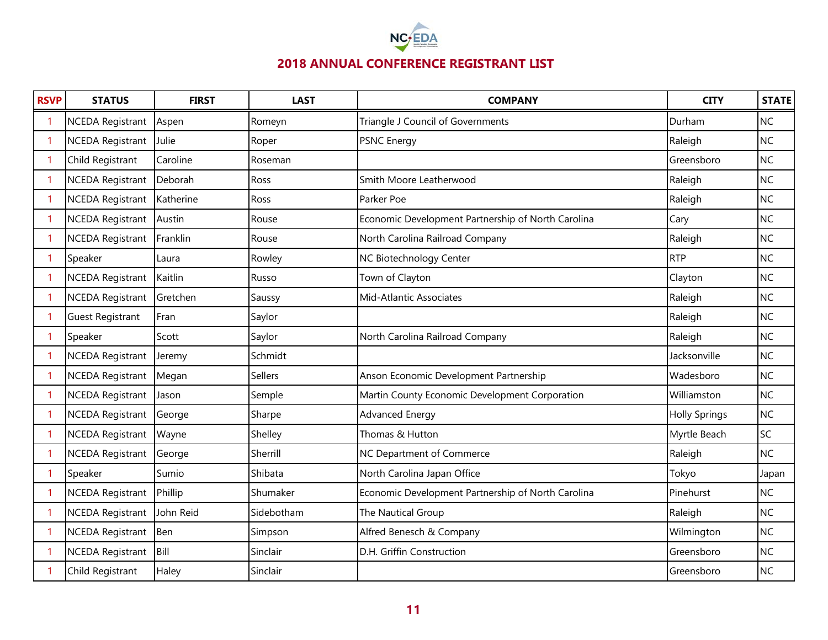

| <b>RSVP</b> | <b>STATUS</b>           | <b>FIRST</b> | <b>LAST</b> | <b>COMPANY</b>                                     | <b>CITY</b>          | <b>STATE</b> |
|-------------|-------------------------|--------------|-------------|----------------------------------------------------|----------------------|--------------|
|             | <b>NCEDA Registrant</b> | Aspen        | Romeyn      | Triangle J Council of Governments                  | Durham               | <b>NC</b>    |
| 1           | <b>NCEDA Registrant</b> | Julie        | Roper       | PSNC Energy                                        | Raleigh              | <b>NC</b>    |
| -1          | Child Registrant        | Caroline     | Roseman     |                                                    | Greensboro           | <b>NC</b>    |
| 1           | <b>NCEDA Registrant</b> | Deborah      | Ross        | Smith Moore Leatherwood                            | Raleigh              | <b>NC</b>    |
| -1          | <b>NCEDA Registrant</b> | Katherine    | Ross        | Parker Poe                                         | Raleigh              | <b>NC</b>    |
| 1           | <b>NCEDA Registrant</b> | Austin       | Rouse       | Economic Development Partnership of North Carolina | Cary                 | <b>NC</b>    |
| -1          | <b>NCEDA Registrant</b> | Franklin     | Rouse       | North Carolina Railroad Company                    | Raleigh              | <b>NC</b>    |
| 1           | Speaker                 | Laura        | Rowley      | <b>NC Biotechnology Center</b>                     | <b>RTP</b>           | <b>NC</b>    |
| -1          | NCEDA Registrant        | Kaitlin      | Russo       | Town of Clayton                                    | Clayton              | <b>NC</b>    |
| -1          | <b>NCEDA Registrant</b> | Gretchen     | Saussy      | Mid-Atlantic Associates                            | Raleigh              | <b>NC</b>    |
|             | <b>Guest Registrant</b> | Fran         | Saylor      |                                                    | Raleigh              | <b>NC</b>    |
|             | Speaker                 | Scott        | Saylor      | North Carolina Railroad Company                    | Raleigh              | <b>NC</b>    |
|             | <b>NCEDA Registrant</b> | Jeremy       | Schmidt     |                                                    | Jacksonville         | <b>NC</b>    |
|             | <b>NCEDA Registrant</b> | Megan        | Sellers     | Anson Economic Development Partnership             | Wadesboro            | <b>NC</b>    |
|             | <b>NCEDA Registrant</b> | Jason        | Semple      | Martin County Economic Development Corporation     | Williamston          | <b>NC</b>    |
|             | <b>NCEDA Registrant</b> | George       | Sharpe      | Advanced Energy                                    | <b>Holly Springs</b> | <b>NC</b>    |
|             | <b>NCEDA Registrant</b> | Wayne        | Shelley     | Thomas & Hutton                                    | Myrtle Beach         | <b>SC</b>    |
|             | <b>NCEDA Registrant</b> | George       | Sherrill    | NC Department of Commerce                          | Raleigh              | <b>NC</b>    |
|             | Speaker                 | Sumio        | Shibata     | North Carolina Japan Office                        | Tokyo                | Japan        |
|             | <b>NCEDA Registrant</b> | Phillip      | Shumaker    | Economic Development Partnership of North Carolina | Pinehurst            | <b>NC</b>    |
|             | <b>NCEDA Registrant</b> | John Reid    | Sidebotham  | The Nautical Group                                 | Raleigh              | <b>NC</b>    |
|             | <b>NCEDA Registrant</b> | Ben          | Simpson     | Alfred Benesch & Company                           | Wilmington           | <b>NC</b>    |
|             | <b>NCEDA Registrant</b> | Bill         | Sinclair    | D.H. Griffin Construction                          | Greensboro           | <b>NC</b>    |
|             | Child Registrant        | Haley        | Sinclair    |                                                    | Greensboro           | <b>NC</b>    |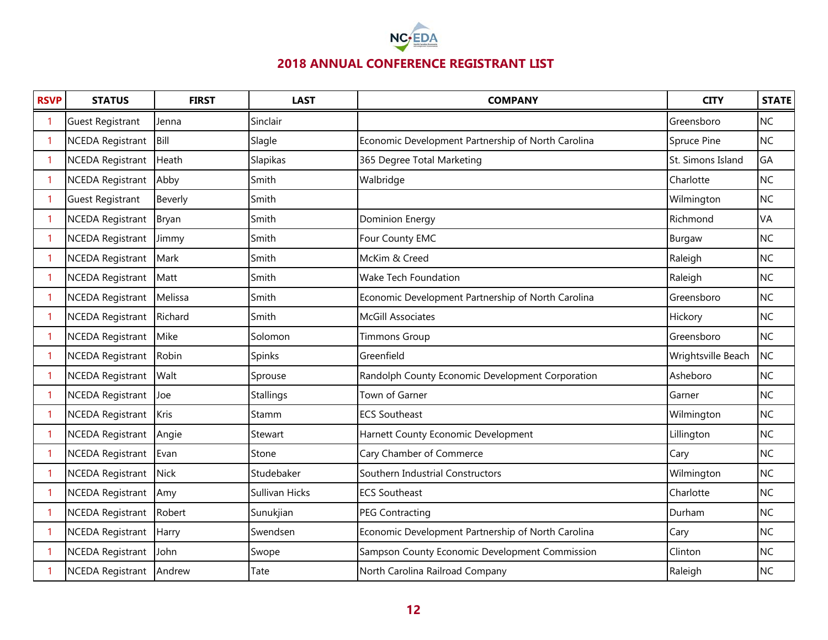

| <b>RSVP</b> | <b>STATUS</b>           | <b>FIRST</b> | <b>LAST</b>      | <b>COMPANY</b>                                     | <b>CITY</b>        | <b>STATE</b> |
|-------------|-------------------------|--------------|------------------|----------------------------------------------------|--------------------|--------------|
|             | <b>Guest Registrant</b> | Jenna        | Sinclair         |                                                    | Greensboro         | <b>NC</b>    |
| -1          | <b>NCEDA Registrant</b> | Bill         | Slagle           | Economic Development Partnership of North Carolina | Spruce Pine        | <b>NC</b>    |
| -1          | <b>NCEDA Registrant</b> | Heath        | Slapikas         | 365 Degree Total Marketing                         | St. Simons Island  | GA           |
| -1          | <b>NCEDA Registrant</b> | Abby         | Smith            | Walbridge                                          | Charlotte          | <b>NC</b>    |
| -1          | <b>Guest Registrant</b> | Beverly      | Smith            |                                                    | Wilmington         | <b>NC</b>    |
| -1          | <b>NCEDA Registrant</b> | Bryan        | Smith            | <b>Dominion Energy</b>                             | Richmond           | VA           |
| -1          | <b>NCEDA Registrant</b> | Jimmy        | Smith            | Four County EMC                                    | Burgaw             | <b>NC</b>    |
| -1          | <b>NCEDA Registrant</b> | Mark         | Smith            | McKim & Creed                                      | Raleigh            | <b>NC</b>    |
| -1          | NCEDA Registrant        | Matt         | Smith            | Wake Tech Foundation                               | Raleigh            | <b>NC</b>    |
|             | <b>NCEDA Registrant</b> | Melissa      | Smith            | Economic Development Partnership of North Carolina | Greensboro         | <b>NC</b>    |
|             | <b>NCEDA Registrant</b> | Richard      | Smith            | <b>McGill Associates</b>                           | Hickory            | <b>NC</b>    |
|             | <b>NCEDA Registrant</b> | Mike         | Solomon          | <b>Timmons Group</b>                               | Greensboro         | <b>NC</b>    |
|             | <b>NCEDA Registrant</b> | Robin        | Spinks           | Greenfield                                         | Wrightsville Beach | <b>NC</b>    |
|             | <b>NCEDA Registrant</b> | Walt         | Sprouse          | Randolph County Economic Development Corporation   | Asheboro           | <b>NC</b>    |
|             | <b>NCEDA Registrant</b> | Joe          | <b>Stallings</b> | Town of Garner                                     | Garner             | <b>NC</b>    |
|             | <b>NCEDA Registrant</b> | Kris         | Stamm            | <b>ECS Southeast</b>                               | Wilmington         | <b>NC</b>    |
|             | <b>NCEDA Registrant</b> | Angie        | Stewart          | Harnett County Economic Development                | Lillington         | <b>NC</b>    |
|             | <b>NCEDA Registrant</b> | Evan         | Stone            | Cary Chamber of Commerce                           | Cary               | <b>NC</b>    |
|             | <b>NCEDA Registrant</b> | <b>Nick</b>  | Studebaker       | Southern Industrial Constructors                   | Wilmington         | <b>NC</b>    |
|             | <b>NCEDA Registrant</b> | Amy          | Sullivan Hicks   | <b>ECS Southeast</b>                               | Charlotte          | <b>NC</b>    |
|             | <b>NCEDA Registrant</b> | Robert       | Sunukjian        | <b>PEG Contracting</b>                             | Durham             | <b>NC</b>    |
|             | <b>NCEDA Registrant</b> | Harry        | Swendsen         | Economic Development Partnership of North Carolina | Cary               | <b>NC</b>    |
|             | <b>NCEDA Registrant</b> | John         | Swope            | Sampson County Economic Development Commission     | Clinton            | <b>NC</b>    |
|             | <b>NCEDA Registrant</b> | Andrew       | Tate             | North Carolina Railroad Company                    | Raleigh            | <b>NC</b>    |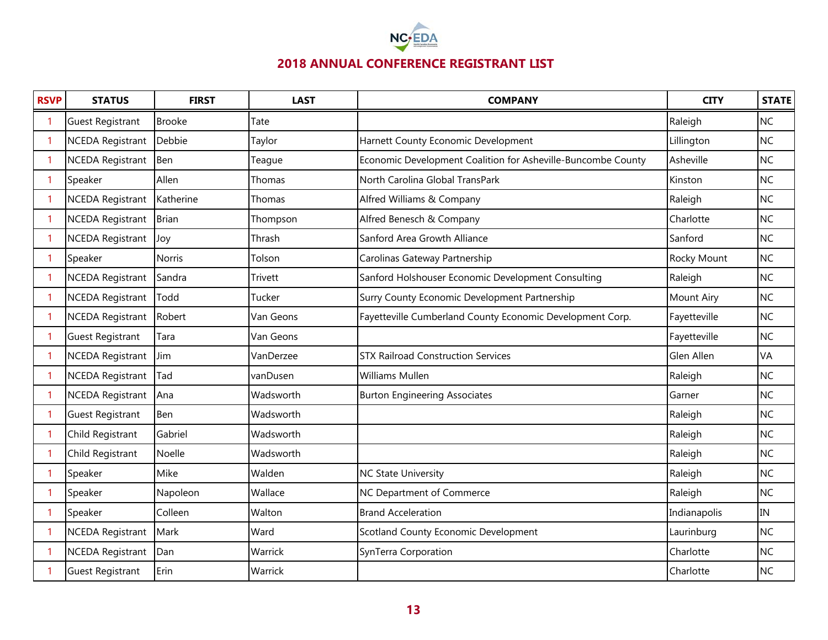

| <b>RSVP</b> | <b>STATUS</b>           | <b>FIRST</b>  | <b>LAST</b> | <b>COMPANY</b>                                               | <b>CITY</b>  | <b>STATE</b> |
|-------------|-------------------------|---------------|-------------|--------------------------------------------------------------|--------------|--------------|
|             | <b>Guest Registrant</b> | <b>Brooke</b> | Tate        |                                                              | Raleigh      | <b>NC</b>    |
| 1           | <b>NCEDA Registrant</b> | Debbie        | Taylor      | Harnett County Economic Development                          | Lillington   | <b>NC</b>    |
| -1          | <b>NCEDA Registrant</b> | Ben           | Teague      | Economic Development Coalition for Asheville-Buncombe County | Asheville    | <b>NC</b>    |
| 1           | Speaker                 | Allen         | Thomas      | North Carolina Global TransPark                              | Kinston      | <b>NC</b>    |
| 1           | <b>NCEDA Registrant</b> | Katherine     | Thomas      | Alfred Williams & Company                                    | Raleigh      | <b>NC</b>    |
| 1           | <b>NCEDA Registrant</b> | <b>Brian</b>  | Thompson    | Alfred Benesch & Company                                     | Charlotte    | <b>NC</b>    |
| -1          | <b>NCEDA Registrant</b> | Joy           | Thrash      | Sanford Area Growth Alliance                                 | Sanford      | <b>NC</b>    |
| 1           | Speaker                 | <b>Norris</b> | Tolson      | Carolinas Gateway Partnership                                | Rocky Mount  | <b>NC</b>    |
| -1          | <b>NCEDA Registrant</b> | Sandra        | Trivett     | Sanford Holshouser Economic Development Consulting           | Raleigh      | <b>NC</b>    |
| -1          | <b>NCEDA Registrant</b> | Todd          | Tucker      | Surry County Economic Development Partnership                | Mount Airy   | <b>NC</b>    |
| -1          | <b>NCEDA Registrant</b> | Robert        | Van Geons   | Fayetteville Cumberland County Economic Development Corp.    | Fayetteville | <b>NC</b>    |
|             | <b>Guest Registrant</b> | Tara          | Van Geons   |                                                              | Fayetteville | <b>NC</b>    |
| -1          | <b>NCEDA Registrant</b> | Jim           | VanDerzee   | <b>STX Railroad Construction Services</b>                    | Glen Allen   | VA           |
|             | <b>NCEDA Registrant</b> | Tad           | vanDusen    | <b>Williams Mullen</b>                                       | Raleigh      | <b>NC</b>    |
|             | <b>NCEDA Registrant</b> | Ana           | Wadsworth   | <b>Burton Engineering Associates</b>                         | Garner       | <b>NC</b>    |
|             | <b>Guest Registrant</b> | Ben           | Wadsworth   |                                                              | Raleigh      | <b>NC</b>    |
|             | Child Registrant        | Gabriel       | Wadsworth   |                                                              | Raleigh      | <b>NC</b>    |
|             | Child Registrant        | Noelle        | Wadsworth   |                                                              | Raleigh      | <b>NC</b>    |
|             | Speaker                 | Mike          | Walden      | <b>NC State University</b>                                   | Raleigh      | <b>NC</b>    |
|             | Speaker                 | Napoleon      | Wallace     | NC Department of Commerce                                    | Raleigh      | <b>NC</b>    |
|             | Speaker                 | Colleen       | Walton      | <b>Brand Acceleration</b>                                    | Indianapolis | IN           |
|             | <b>NCEDA Registrant</b> | Mark          | Ward        | Scotland County Economic Development                         | Laurinburg   | <b>NC</b>    |
|             | <b>NCEDA Registrant</b> | Dan           | Warrick     | SynTerra Corporation                                         | Charlotte    | <b>NC</b>    |
|             | <b>Guest Registrant</b> | Erin          | Warrick     |                                                              | Charlotte    | <b>NC</b>    |